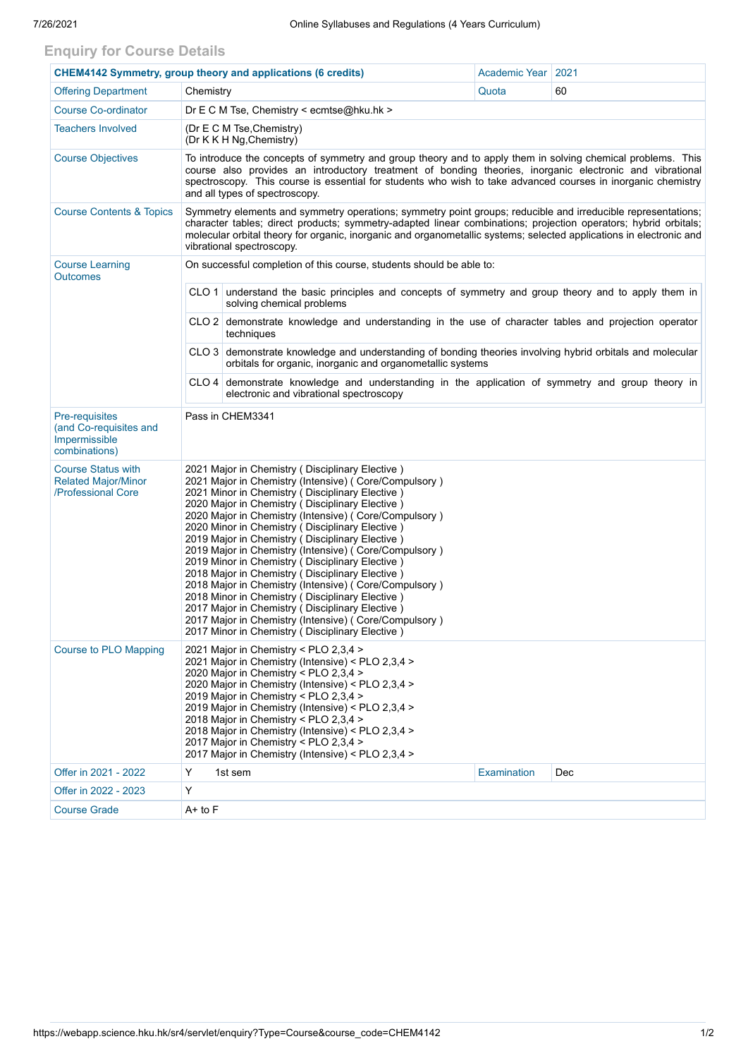## **Enquiry for Course Details**

| <b>CHEM4142 Symmetry, group theory and applications (6 credits)</b>           |                                                                                                                                                                                                                                                                                                                                                                                                                                                                                                                                                                                                                                                                                                                                                                                                                             | Academic Year                                                                                                                                                           | 2021        |     |  |  |  |  |  |
|-------------------------------------------------------------------------------|-----------------------------------------------------------------------------------------------------------------------------------------------------------------------------------------------------------------------------------------------------------------------------------------------------------------------------------------------------------------------------------------------------------------------------------------------------------------------------------------------------------------------------------------------------------------------------------------------------------------------------------------------------------------------------------------------------------------------------------------------------------------------------------------------------------------------------|-------------------------------------------------------------------------------------------------------------------------------------------------------------------------|-------------|-----|--|--|--|--|--|
| <b>Offering Department</b>                                                    | Chemistry                                                                                                                                                                                                                                                                                                                                                                                                                                                                                                                                                                                                                                                                                                                                                                                                                   |                                                                                                                                                                         | Quota       | 60  |  |  |  |  |  |
| <b>Course Co-ordinator</b>                                                    | Dr E C M Tse, Chemistry < ecmtse@hku.hk >                                                                                                                                                                                                                                                                                                                                                                                                                                                                                                                                                                                                                                                                                                                                                                                   |                                                                                                                                                                         |             |     |  |  |  |  |  |
| <b>Teachers Involved</b>                                                      | (Dr E C M Tse, Chemistry)<br>(Dr K K H Ng, Chemistry)                                                                                                                                                                                                                                                                                                                                                                                                                                                                                                                                                                                                                                                                                                                                                                       |                                                                                                                                                                         |             |     |  |  |  |  |  |
| <b>Course Objectives</b>                                                      | To introduce the concepts of symmetry and group theory and to apply them in solving chemical problems. This<br>course also provides an introductory treatment of bonding theories, inorganic electronic and vibrational<br>spectroscopy. This course is essential for students who wish to take advanced courses in inorganic chemistry<br>and all types of spectroscopy.                                                                                                                                                                                                                                                                                                                                                                                                                                                   |                                                                                                                                                                         |             |     |  |  |  |  |  |
| <b>Course Contents &amp; Topics</b>                                           | Symmetry elements and symmetry operations; symmetry point groups; reducible and irreducible representations;<br>character tables; direct products; symmetry-adapted linear combinations; projection operators; hybrid orbitals;<br>molecular orbital theory for organic, inorganic and organometallic systems; selected applications in electronic and<br>vibrational spectroscopy.                                                                                                                                                                                                                                                                                                                                                                                                                                         |                                                                                                                                                                         |             |     |  |  |  |  |  |
| <b>Course Learning</b><br><b>Outcomes</b>                                     | On successful completion of this course, students should be able to:                                                                                                                                                                                                                                                                                                                                                                                                                                                                                                                                                                                                                                                                                                                                                        |                                                                                                                                                                         |             |     |  |  |  |  |  |
|                                                                               |                                                                                                                                                                                                                                                                                                                                                                                                                                                                                                                                                                                                                                                                                                                                                                                                                             | CLO 1 understand the basic principles and concepts of symmetry and group theory and to apply them in<br>solving chemical problems                                       |             |     |  |  |  |  |  |
|                                                                               |                                                                                                                                                                                                                                                                                                                                                                                                                                                                                                                                                                                                                                                                                                                                                                                                                             | CLO 2 demonstrate knowledge and understanding in the use of character tables and projection operator<br>techniques                                                      |             |     |  |  |  |  |  |
|                                                                               |                                                                                                                                                                                                                                                                                                                                                                                                                                                                                                                                                                                                                                                                                                                                                                                                                             | CLO 3 demonstrate knowledge and understanding of bonding theories involving hybrid orbitals and molecular<br>orbitals for organic, inorganic and organometallic systems |             |     |  |  |  |  |  |
|                                                                               | $CLO4$ demonstrate knowledge and understanding in the application of symmetry and group theory in<br>electronic and vibrational spectroscopy                                                                                                                                                                                                                                                                                                                                                                                                                                                                                                                                                                                                                                                                                |                                                                                                                                                                         |             |     |  |  |  |  |  |
| Pre-requisites<br>(and Co-requisites and<br>Impermissible<br>combinations)    | Pass in CHEM3341                                                                                                                                                                                                                                                                                                                                                                                                                                                                                                                                                                                                                                                                                                                                                                                                            |                                                                                                                                                                         |             |     |  |  |  |  |  |
| <b>Course Status with</b><br><b>Related Major/Minor</b><br>/Professional Core | 2021 Major in Chemistry (Disciplinary Elective)<br>2021 Major in Chemistry (Intensive) (Core/Compulsory)<br>2021 Minor in Chemistry (Disciplinary Elective)<br>2020 Major in Chemistry (Disciplinary Elective)<br>2020 Major in Chemistry (Intensive) (Core/Compulsory)<br>2020 Minor in Chemistry (Disciplinary Elective)<br>2019 Major in Chemistry (Disciplinary Elective)<br>2019 Major in Chemistry (Intensive) (Core/Compulsory)<br>2019 Minor in Chemistry (Disciplinary Elective)<br>2018 Major in Chemistry (Disciplinary Elective)<br>2018 Major in Chemistry (Intensive) ( Core/Compulsory )<br>2018 Minor in Chemistry ( Disciplinary Elective )<br>2017 Major in Chemistry (Disciplinary Elective)<br>2017 Major in Chemistry (Intensive) (Core/Compulsory)<br>2017 Minor in Chemistry (Disciplinary Elective) |                                                                                                                                                                         |             |     |  |  |  |  |  |
| <b>Course to PLO Mapping</b>                                                  | 2021 Major in Chemistry < PLO 2,3,4 ><br>2021 Major in Chemistry (Intensive) < PLO 2,3,4 ><br>2020 Major in Chemistry < PLO 2,3,4 ><br>2020 Major in Chemistry (Intensive) < PLO 2,3,4 ><br>2019 Major in Chemistry < PLO 2,3,4 ><br>2019 Major in Chemistry (Intensive) < PLO 2,3,4 ><br>2018 Major in Chemistry < PLO 2,3,4 ><br>2018 Major in Chemistry (Intensive) < PLO 2,3,4 ><br>2017 Major in Chemistry < PLO 2,3,4 ><br>2017 Major in Chemistry (Intensive) < PLO 2,3,4 >                                                                                                                                                                                                                                                                                                                                          |                                                                                                                                                                         |             |     |  |  |  |  |  |
| Offer in 2021 - 2022                                                          | Y                                                                                                                                                                                                                                                                                                                                                                                                                                                                                                                                                                                                                                                                                                                                                                                                                           | 1st sem                                                                                                                                                                 | Examination | Dec |  |  |  |  |  |
| Offer in 2022 - 2023                                                          | Υ                                                                                                                                                                                                                                                                                                                                                                                                                                                                                                                                                                                                                                                                                                                                                                                                                           |                                                                                                                                                                         |             |     |  |  |  |  |  |
| <b>Course Grade</b>                                                           | $A+$ to $F$                                                                                                                                                                                                                                                                                                                                                                                                                                                                                                                                                                                                                                                                                                                                                                                                                 |                                                                                                                                                                         |             |     |  |  |  |  |  |